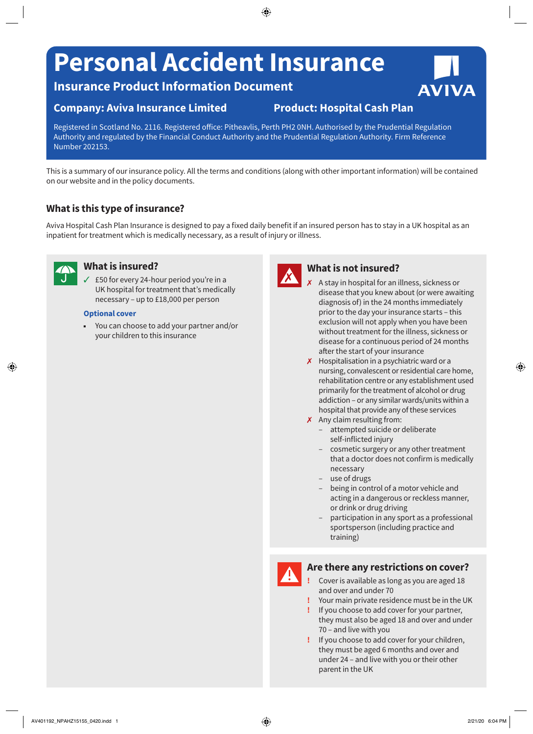# **Personal Accident Insurance**

**Insurance Product Information Document**

# **Company: Aviva Insurance Limited Product: Hospital Cash Plan**

Registered in Scotland No. 2116. Registered office: Pitheavlis, Perth PH2 0NH. Authorised by the Prudential Regulation Authority and regulated by the Financial Conduct Authority and the Prudential Regulation Authority. Firm Reference Number 202153.

This is a summary of our insurance policy. All the terms and conditions (along with other important information) will be contained on our website and in the policy documents.

# **What is this type of insurance?**

Aviva Hospital Cash Plan Insurance is designed to pay a fixed daily benefit if an insured person has to stay in a UK hospital as an inpatient for treatment which is medically necessary, as a result of injury or illness.



#### **What is insured?**

 $\angle$  £50 for every 24-hour period you're in a UK hospital for treatment that's medically necessary – up to £18,000 per person

#### **Optional cover**

■ You can choose to add your partner and/or your children to this insurance



## **What is not insured?**

- 7 A stay in hospital for an illness, sickness or disease that you knew about (or were awaiting diagnosis of) in the 24 months immediately prior to the day your insurance starts – this exclusion will not apply when you have been without treatment for the illness, sickness or disease for a continuous period of 24 months after the start of your insurance
- $\boldsymbol{\chi}$  Hospitalisation in a psychiatric ward or a nursing, convalescent or residential care home, rehabilitation centre or any establishment used primarily for the treatment of alcohol or drug addiction – or any similar wards/units within a hospital that provide any of these services
- $\boldsymbol{\chi}$  Any claim resulting from:
	- attempted suicide or deliberate self-inflicted injury
	- cosmetic surgery or any other treatment that a doctor does not confirm is medically necessary
	- use of drugs
	- being in control of a motor vehicle and acting in a dangerous or reckless manner, or drink or drug driving
	- participation in any sport as a professional sportsperson (including practice and training)



## **Are there any restrictions on cover?**

- **!** Cover is available as long as you are aged 18 and over and under 70
- **!** Your main private residence must be in the UK
- **!** If you choose to add cover for your partner, they must also be aged 18 and over and under 70 – and live with you
- **!** If you choose to add cover for your children, they must be aged 6 months and over and under 24 – and live with you or their other parent in the UK